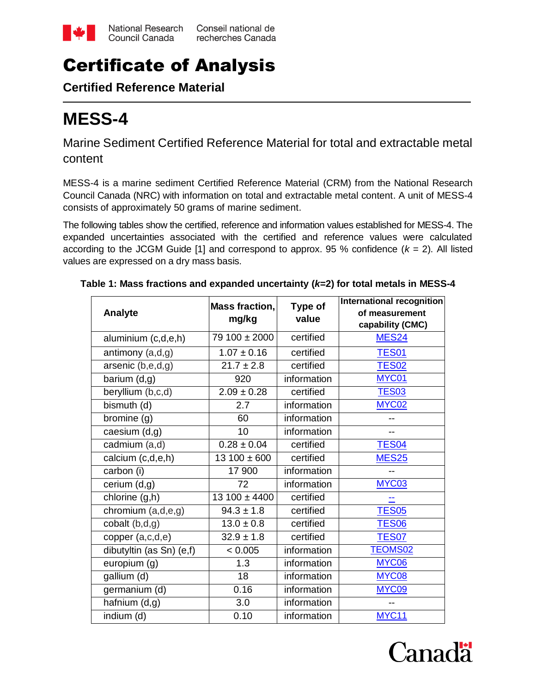

## Certificate of Analysis

**Certified Reference Material**

# **MESS-4**

Marine Sediment Certified Reference Material for total and extractable metal content

MESS-4 is a marine sediment Certified Reference Material (CRM) from the National Research Council Canada (NRC) with information on total and extractable metal content. A unit of MESS-4 consists of approximately 50 grams of marine sediment.

The following tables show the certified, reference and information values established for MESS-4. The expanded uncertainties associated with the certified and reference values were calculated according to the JCGM Guide [1] and correspond to approx. 95 % confidence  $(k = 2)$ . All listed values are expressed on a dry mass basis.

| Analyte                           | <b>Mass fraction.</b> | Type of<br>value | International recognition<br>of measurement |
|-----------------------------------|-----------------------|------------------|---------------------------------------------|
|                                   | mg/kg                 |                  | capability (CMC)                            |
| aluminium (c,d,e,h)               | 79 100 ± 2000         | certified        | <b>MES24</b>                                |
| antimony (a,d,g)                  | $1.07 \pm 0.16$       | certified        | <b>TES01</b>                                |
| arsenic (b,e,d,g)                 | $21.7 \pm 2.8$        | certified        | <b>TES02</b>                                |
| barium(d,g)                       | 920                   | information      | MYC01                                       |
| beryllium (b,c,d)                 | $2.09 \pm 0.28$       | certified        | <b>TES03</b>                                |
| bismuth (d)                       | 2.7                   | information      | MYC02                                       |
| bromine(g)                        | 60                    | information      |                                             |
| caesium (d,g)                     | 10                    | information      | --                                          |
| cadmium (a,d)                     | $0.28 \pm 0.04$       | certified        | <b>TES04</b>                                |
| calcium (c,d,e,h)                 | $13100 \pm 600$       | certified        | <b>MES25</b>                                |
| carbon (i)                        | 17 900                | information      | $-$                                         |
| cerium (d,g)                      | 72                    | information      | MYC03                                       |
| $\overline{\text{chlorine}}(g,h)$ | $13100 \pm 4400$      | certified        | --                                          |
| chromium (a,d,e,g)                | $94.3 \pm 1.8$        | certified        | <b>TES05</b>                                |
| cobalt (b,d,g)                    | $13.0 \pm 0.8$        | certified        | <b>TES06</b>                                |
| copper (a,c,d,e)                  | $32.9 \pm 1.8$        | certified        | <b>TES07</b>                                |
| dibutyltin (as Sn) (e,f)          | < 0.005               | information      | <b>TEOMS02</b>                              |
| europium (g)                      | 1.3                   | information      | MYC06                                       |
| gallium (d)                       | 18                    | information      | MYC08                                       |
| germanium (d)                     | 0.16                  | information      | MYC09                                       |
| hafnium (d,g)                     | 3.0                   | information      |                                             |
| indium (d)                        | 0.10                  | information      | <b>MYC11</b>                                |

**Table 1: Mass fractions and expanded uncertainty (***k***=2) for total metals in MESS-4**

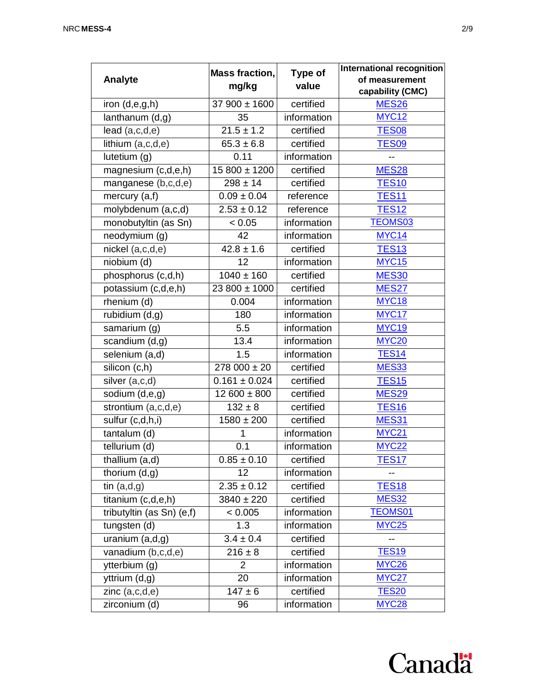|                                        | <b>Mass fraction,</b>       | Type of     | International recognition          |  |
|----------------------------------------|-----------------------------|-------------|------------------------------------|--|
| <b>Analyte</b>                         | mg/kg                       | value       | of measurement<br>capability (CMC) |  |
| iron (d,e,g,h)                         | $37\overline{900 \pm 1600}$ | certified   | <b>MES26</b>                       |  |
| $\overline{\mathsf{lan}}$ thanum (d,g) | 35                          | information | <b>MYC12</b>                       |  |
| lead(a,c,d,e)                          | $21.5 \pm 1.2$              | certified   | <b>TES08</b>                       |  |
| lithium (a,c,d,e)                      | $65.3 \pm 6.8$              | certified   | <b>TES09</b>                       |  |
| lutetium (g)                           | 0.11                        | information | --                                 |  |
| magnesium (c,d,e,h)                    | 15 800 ± 1200               | certified   | <b>MES28</b>                       |  |
| manganese (b,c,d,e)                    | $298 \pm 14$                | certified   | <b>TES10</b>                       |  |
| mercury (a,f)                          | $0.09 \pm 0.04$             | reference   | <b>TES11</b>                       |  |
| molybdenum (a,c,d)                     | $2.53 \pm 0.12$             | reference   | <b>TES12</b>                       |  |
| monobutyltin (as Sn)                   | < 0.05                      | information | <b>TEOMS03</b>                     |  |
| neodymium (g)                          | 42                          | information | MYC14                              |  |
| nickel (a,c,d,e)                       | $42.8 \pm 1.6$              | certified   | <b>TES13</b>                       |  |
| niobium (d)                            | 12                          | information | <b>MYC15</b>                       |  |
| phosphorus (c,d,h)                     | $1040 \pm 160$              | certified   | <b>MES30</b>                       |  |
| potassium (c,d,e,h)                    | 23 800 ± 1000               | certified   | <b>MES27</b>                       |  |
| rhenium (d)                            | 0.004                       | information | MYC <sub>18</sub>                  |  |
| rubidium (d,g)                         | 180                         | information | MYC17                              |  |
| samarium (g)                           | 5.5                         | information | <b>MYC19</b>                       |  |
| scandium (d,g)                         | 13.4                        | information | <b>MYC20</b>                       |  |
| selenium (a,d)                         | 1.5                         | information | <b>TES14</b>                       |  |
| silicon (c,h)                          | $278000 \pm 20$             | certified   | <b>MES33</b>                       |  |
| silver (a,c,d)                         | $0.161 \pm 0.024$           | certified   | <b>TES15</b>                       |  |
| sodium (d,e,g)                         | $12600 \pm 800$             | certified   | <b>MES29</b>                       |  |
| strontium (a,c,d,e)                    | $132 \pm 8$                 | certified   | <b>TES16</b>                       |  |
| sulfur (c,d,h,i)                       | $1580 \pm 200$              | certified   | <b>MES31</b>                       |  |
| tantalum (d)                           | 1                           | information | <b>MYC21</b>                       |  |
| tellurium (d)                          | 0.1                         | information | <b>MYC22</b>                       |  |
| thallium (a,d)                         | $0.85 \pm 0.10$             | certified   | <b>TES17</b>                       |  |
| thorium $(d,g)$                        | 12                          | information |                                    |  |
| tin $(a,d,g)$                          | $2.35 \pm 0.12$             | certified   | <b>TES18</b>                       |  |
| titanium (c,d,e,h)                     | $3840 \pm 220$              | certified   | <b>MES32</b>                       |  |
| tributyltin (as Sn) (e,f)              | < 0.005                     | information | <b>TEOMS01</b>                     |  |
| tungsten (d)                           | 1.3                         | information | <b>MYC25</b>                       |  |
| $\overline{ur}$ anium (a,d,g)          | $3.4 \pm 0.4$               | certified   |                                    |  |
| vanadium (b,c,d,e)                     | $216 \pm 8$                 | certified   | <b>TES19</b>                       |  |
| ytterbium (g)                          | 2                           | information | <b>MYC26</b>                       |  |
| yttrium (d,g)                          | 20                          | information | <b>MYC27</b>                       |  |
| zinc(a,c,d,e)                          | $147 \pm 6$                 | certified   | <b>TES20</b>                       |  |
| zirconium (d)                          | 96                          | information | <b>MYC28</b>                       |  |

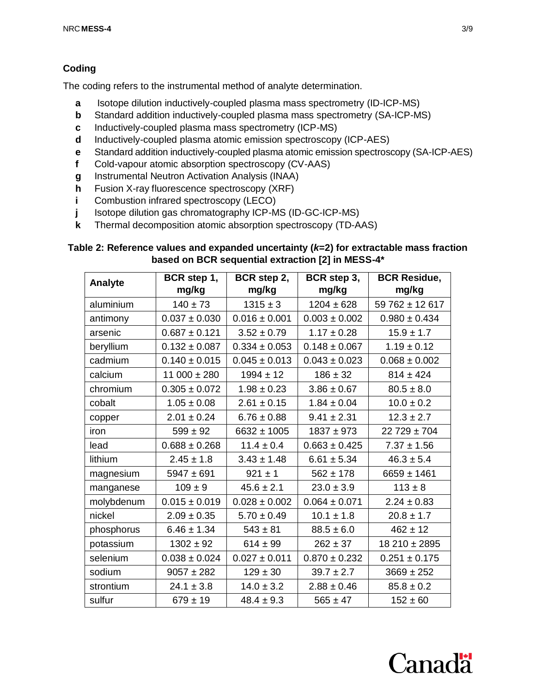## **Coding**

The coding refers to the instrumental method of analyte determination.

- **a** Isotope dilution inductively-coupled plasma mass spectrometry (ID-ICP-MS)
- **b** Standard addition inductively-coupled plasma mass spectrometry (SA-ICP-MS)
- **c** Inductively-coupled plasma mass spectrometry (ICP-MS)
- **d** Inductively-coupled plasma atomic emission spectroscopy (ICP-AES)
- **e** Standard addition inductively-coupled plasma atomic emission spectroscopy (SA-ICP-AES)
- **f** Cold-vapour atomic absorption spectroscopy (CV-AAS)
- **g** Instrumental Neutron Activation Analysis (INAA)
- **h** Fusion X-ray fluorescence spectroscopy (XRF)
- **i** Combustion infrared spectroscopy (LECO)
- **j** Isotope dilution gas chromatography ICP-MS (ID-GC-ICP-MS)
- **k** Thermal decomposition atomic absorption spectroscopy (TD-AAS)

## **Table 2: Reference values and expanded uncertainty (***k***=2) for extractable mass fraction based on BCR sequential extraction [2] in MESS-4\***

| <b>Analyte</b> | BCR step 1,       | BCR step 2,       | BCR step 3,       | <b>BCR Residue,</b> |
|----------------|-------------------|-------------------|-------------------|---------------------|
|                | mg/kg             | mg/kg             | mg/kg             | mg/kg               |
| aluminium      | $140 \pm 73$      | $1315 \pm 3$      | $1204 \pm 628$    | $59762 \pm 12617$   |
| antimony       | $0.037 \pm 0.030$ | $0.016 \pm 0.001$ | $0.003 \pm 0.002$ | $0.980 \pm 0.434$   |
| arsenic        | $0.687 \pm 0.121$ | $3.52 \pm 0.79$   | $1.17 \pm 0.28$   | $15.9 \pm 1.7$      |
| beryllium      | $0.132 \pm 0.087$ | $0.334 \pm 0.053$ | $0.148 \pm 0.067$ | $1.19 \pm 0.12$     |
| cadmium        | $0.140 \pm 0.015$ | $0.045 \pm 0.013$ | $0.043 \pm 0.023$ | $0.068 \pm 0.002$   |
| calcium        | $11000 \pm 280$   | $1994 \pm 12$     | $186 \pm 32$      | $814 \pm 424$       |
| chromium       | $0.305 \pm 0.072$ | $1.98 \pm 0.23$   | $3.86 \pm 0.67$   | $80.5 \pm 8.0$      |
| cobalt         | $1.05 \pm 0.08$   | $2.61 \pm 0.15$   | $1.84 \pm 0.04$   | $10.0 \pm 0.2$      |
| copper         | $2.01 \pm 0.24$   | $6.76 \pm 0.88$   | $9.41 \pm 2.31$   | $12.3 \pm 2.7$      |
| iron           | $599 \pm 92$      | $6632 \pm 1005$   | $1837 + 973$      | $22729 \pm 704$     |
| lead           | $0.688 \pm 0.268$ | $11.4 \pm 0.4$    | $0.663 \pm 0.425$ | $7.37 \pm 1.56$     |
| lithium        | $2.45 \pm 1.8$    | $3.43 \pm 1.48$   | $6.61 \pm 5.34$   | $46.3 \pm 5.4$      |
| magnesium      | $5947 \pm 691$    | $921 \pm 1$       | $562 \pm 178$     | $6659 \pm 1461$     |
| manganese      | $109 \pm 9$       | $45.6 \pm 2.1$    | $23.0 \pm 3.9$    | $113 \pm 8$         |
| molybdenum     | $0.015 \pm 0.019$ | $0.028 \pm 0.002$ | $0.064 \pm 0.071$ | $2.24 \pm 0.83$     |
| nickel         | $2.09 \pm 0.35$   | $5.70 \pm 0.49$   | $10.1 \pm 1.8$    | $20.8 \pm 1.7$      |
| phosphorus     | $6.46 \pm 1.34$   | $543 \pm 81$      | $88.5 \pm 6.0$    | $462 \pm 12$        |
| potassium      | $1302 \pm 92$     | $614 \pm 99$      | $262 \pm 37$      | $18210 \pm 2895$    |
| selenium       | $0.038 \pm 0.024$ | $0.027 \pm 0.011$ | $0.870 \pm 0.232$ | $0.251 \pm 0.175$   |
| sodium         | $9057 \pm 282$    | $129 \pm 30$      | $39.7 \pm 2.7$    | $3669 \pm 252$      |
| strontium      | $24.1 \pm 3.8$    | $14.0 \pm 3.2$    | $2.88 \pm 0.46$   | $85.8 \pm 0.2$      |
| sulfur         | $679 \pm 19$      | $48.4 \pm 9.3$    | $565 \pm 47$      | $152 \pm 60$        |

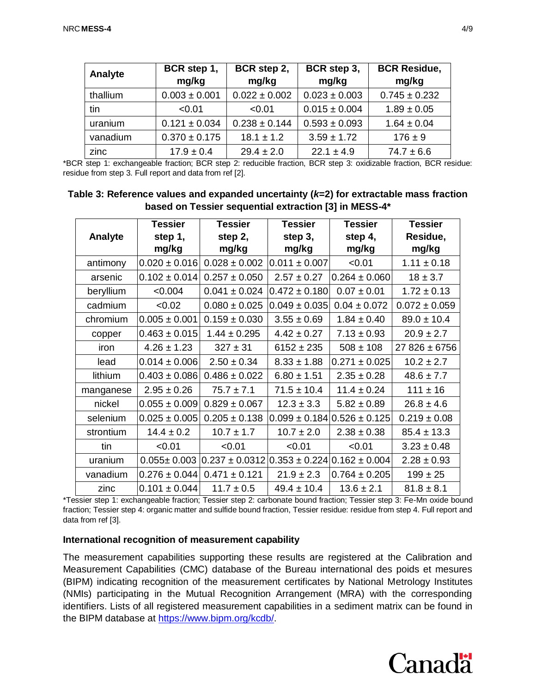| Analyte  | BCR step 1,<br>mg/kg | BCR step 2,<br>mg/kg | BCR step 3,<br>mg/kg | <b>BCR Residue,</b><br>mg/kg |
|----------|----------------------|----------------------|----------------------|------------------------------|
| thallium | $0.003 \pm 0.001$    | $0.022 \pm 0.002$    | $0.023 \pm 0.003$    | $0.745 \pm 0.232$            |
| tin      | < 0.01               | < 0.01               | $0.015 \pm 0.004$    | $1.89 \pm 0.05$              |
| uranium  | $0.121 \pm 0.034$    | $0.238 \pm 0.144$    | $0.593 \pm 0.093$    | $1.64 \pm 0.04$              |
| vanadium | $0.370 \pm 0.175$    | $18.1 \pm 1.2$       | $3.59 \pm 1.72$      | $176 \pm 9$                  |
| zinc     | $17.9 \pm 0.4$       | $29.4 \pm 2.0$       | $22.1 \pm 4.9$       | $74.7 \pm 6.6$               |

\*BCR step 1: exchangeable fraction; BCR step 2: reducible fraction, BCR step 3: oxidizable fraction, BCR residue: residue from step 3. Full report and data from ref [2].

| Table 3: Reference values and expanded uncertainty ( $k$ =2) for extractable mass fraction |
|--------------------------------------------------------------------------------------------|
| based on Tessier sequential extraction [3] in MESS-4*                                      |

|           | <b>Tessier</b>    | <b>Tessier</b>                                                   | <b>Tessier</b>    | <b>Tessier</b>    | <b>Tessier</b>    |
|-----------|-------------------|------------------------------------------------------------------|-------------------|-------------------|-------------------|
| Analyte   | step 1,           | step 2,                                                          | step 3,           | step 4,           | Residue,          |
|           | mg/kg             | mg/kg                                                            | mg/kg             | mg/kg             | mg/kg             |
| antimony  | $0.020 \pm 0.016$ | $0.028 \pm 0.002$                                                | $0.011 \pm 0.007$ | < 0.01            | $1.11 \pm 0.18$   |
| arsenic   | $0.102 \pm 0.014$ | $0.257 \pm 0.050$                                                | $2.57 \pm 0.27$   | $0.264 \pm 0.060$ | $18 \pm 3.7$      |
| beryllium | < 0.004           | $0.041 \pm 0.024$                                                | $0.472 \pm 0.180$ | $0.07 \pm 0.01$   | $1.72 \pm 0.13$   |
| cadmium   | < 0.02            | $0.080 \pm 0.025$                                                | $0.049 \pm 0.035$ | $0.04 \pm 0.072$  | $0.072 \pm 0.059$ |
| chromium  | $0.005 \pm 0.001$ | $0.159 \pm 0.030$                                                | $3.55 \pm 0.69$   | $1.84 \pm 0.40$   | $89.0 \pm 10.4$   |
| copper    | $0.463 \pm 0.015$ | $1.44 \pm 0.295$                                                 | $4.42 \pm 0.27$   | $7.13 \pm 0.93$   | $20.9 \pm 2.7$    |
| iron      | $4.26 \pm 1.23$   | $327 \pm 31$                                                     | $6152 \pm 235$    | $508 \pm 108$     | $27826 \pm 6756$  |
| lead      | $0.014 \pm 0.006$ | $2.50 \pm 0.34$                                                  | $8.33 \pm 1.88$   | $0.271 \pm 0.025$ | $10.2 \pm 2.7$    |
| lithium   | $0.403 \pm 0.086$ | $0.486 \pm 0.022$                                                | $6.80 \pm 1.51$   | $2.35 \pm 0.28$   | $48.6 \pm 7.7$    |
| manganese | $2.95 \pm 0.26$   | $75.7 \pm 7.1$                                                   | $71.5 \pm 10.4$   | $11.4 \pm 0.24$   | $111 \pm 16$      |
| nickel    | $0.055 \pm 0.009$ | $0.829 \pm 0.067$                                                | $12.3 \pm 3.3$    | $5.82 \pm 0.89$   | $26.8 \pm 4.6$    |
| selenium  | $0.025 \pm 0.005$ | $0.205 \pm 0.138$                                                | $0.099 \pm 0.184$ | $0.526 \pm 0.125$ | $0.219 \pm 0.08$  |
| strontium | $14.4 \pm 0.2$    | $10.7 \pm 1.7$                                                   | $10.7 \pm 2.0$    | $2.38 \pm 0.38$   | $85.4 \pm 13.3$   |
| tin       | < 0.01            | < 0.01                                                           | < 0.01            | < 0.01            | $3.23 \pm 0.48$   |
| uranium   | $0.055 \pm 0.003$ | $0.237 \pm 0.0312 \times 0.353 \pm 0.224 \times 0.162 \pm 0.004$ |                   |                   | $2.28 \pm 0.93$   |
| vanadium  | $0.276 \pm 0.044$ | $0.471 \pm 0.121$                                                | $21.9 \pm 2.3$    | $0.764 \pm 0.205$ | $199 \pm 25$      |
| zinc      | $0.101 \pm 0.044$ | $11.7 \pm 0.5$                                                   | $49.4 \pm 10.4$   | $13.6 \pm 2.1$    | $81.8 \pm 8.1$    |

\*Tessier step 1: exchangeable fraction; Tessier step 2: carbonate bound fraction; Tessier step 3: Fe-Mn oxide bound fraction; Tessier step 4: organic matter and sulfide bound fraction, Tessier residue: residue from step 4. Full report and data from ref [3].

## **International recognition of measurement capability**

The measurement capabilities supporting these results are registered at the Calibration and Measurement Capabilities (CMC) database of the Bureau international des poids et mesures (BIPM) indicating recognition of the measurement certificates by National Metrology Institutes (NMIs) participating in the Mutual Recognition Arrangement (MRA) with the corresponding identifiers. Lists of all registered measurement capabilities in a sediment matrix can be found in the BIPM database at [https://www.bipm.org/kcdb/.](https://www.bipm.org/kcdb/)

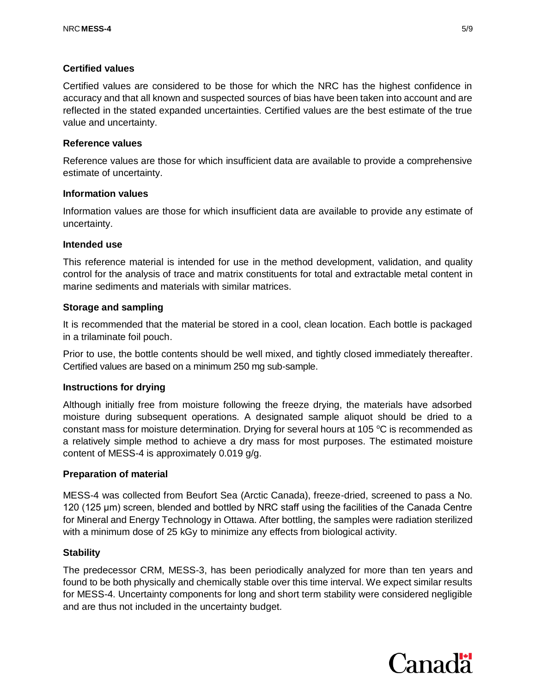## **Certified values**

Certified values are considered to be those for which the NRC has the highest confidence in accuracy and that all known and suspected sources of bias have been taken into account and are reflected in the stated expanded uncertainties. Certified values are the best estimate of the true value and uncertainty.

## **Reference values**

Reference values are those for which insufficient data are available to provide a comprehensive estimate of uncertainty.

#### **Information values**

Information values are those for which insufficient data are available to provide any estimate of uncertainty.

#### **Intended use**

This reference material is intended for use in the method development, validation, and quality control for the analysis of trace and matrix constituents for total and extractable metal content in marine sediments and materials with similar matrices.

## **Storage and sampling**

It is recommended that the material be stored in a cool, clean location. Each bottle is packaged in a trilaminate foil pouch.

Prior to use, the bottle contents should be well mixed, and tightly closed immediately thereafter. Certified values are based on a minimum 250 mg sub-sample.

## **Instructions for drying**

Although initially free from moisture following the freeze drying, the materials have adsorbed moisture during subsequent operations. A designated sample aliquot should be dried to a constant mass for moisture determination. Drying for several hours at 105  $\degree$ C is recommended as a relatively simple method to achieve a dry mass for most purposes. The estimated moisture content of MESS-4 is approximately 0.019 g/g.

## **Preparation of material**

MESS-4 was collected from Beufort Sea (Arctic Canada), freeze-dried, screened to pass a No. 120 (125 μm) screen, blended and bottled by NRC staff using the facilities of the Canada Centre for Mineral and Energy Technology in Ottawa. After bottling, the samples were radiation sterilized with a minimum dose of 25 kGy to minimize any effects from biological activity.

## **Stability**

The predecessor CRM, MESS-3, has been periodically analyzed for more than ten years and found to be both physically and chemically stable over this time interval. We expect similar results for MESS-4. Uncertainty components for long and short term stability were considered negligible and are thus not included in the uncertainty budget.

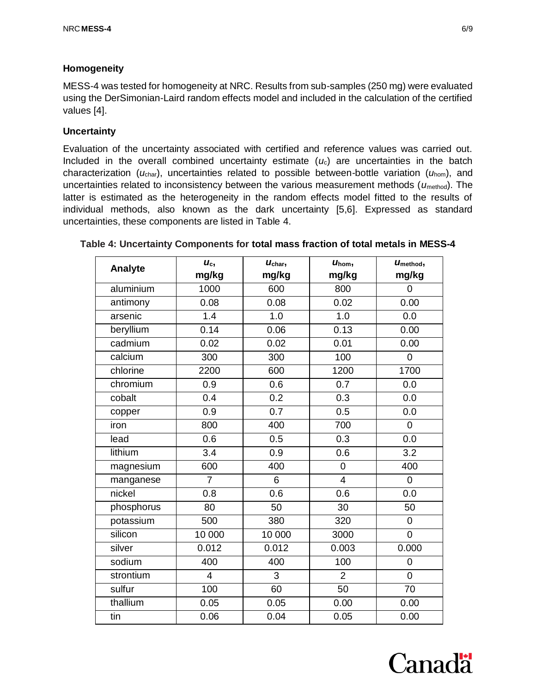## **Homogeneity**

MESS-4 was tested for homogeneity at NRC. Results from sub-samples (250 mg) were evaluated using the DerSimonian-Laird random effects model and included in the calculation of the certified values [4].

## **Uncertainty**

Evaluation of the uncertainty associated with certified and reference values was carried out. Included in the overall combined uncertainty estimate  $(u<sub>c</sub>)$  are uncertainties in the batch characterization (*u*char), uncertainties related to possible between-bottle variation (*u*hom), and uncertainties related to inconsistency between the various measurement methods ( $u_{\text{method}}$ ). The latter is estimated as the heterogeneity in the random effects model fitted to the results of individual methods, also known as the dark uncertainty [5,6]. Expressed as standard uncertainties, these components are listed in Table 4.

| Analyte    | $U_c$          | $U_{\text{char}}$ | $U_{\text{hom}}$ , | Umethod,         |
|------------|----------------|-------------------|--------------------|------------------|
|            | mg/kg          | mg/kg             | mg/kg              | mg/kg            |
| aluminium  | 1000           | 600               | 800                | 0                |
| antimony   | 0.08           | 0.08              | 0.02               | 0.00             |
| arsenic    | 1.4            | 1.0               | 1.0                | 0.0              |
| beryllium  | 0.14           | 0.06              | 0.13               | 0.00             |
| cadmium    | 0.02           | 0.02              | 0.01               | 0.00             |
| calcium    | 300            | 300               | 100                | $\mathbf 0$      |
| chlorine   | 2200           | 600               | 1200               | 1700             |
| chromium   | 0.9            | 0.6               | 0.7                | 0.0              |
| cobalt     | 0.4            | 0.2               | 0.3                | 0.0              |
| copper     | 0.9            | 0.7               | 0.5                | 0.0              |
| iron       | 800            | 400               | 700                | $\boldsymbol{0}$ |
| lead       | 0.6            | 0.5               | 0.3                | 0.0              |
| lithium    | 3.4            | 0.9               | 0.6                | 3.2              |
| magnesium  | 600            | 400               | $\mathbf 0$        | 400              |
| manganese  | $\overline{7}$ | 6                 | $\overline{4}$     | 0                |
| nickel     | 0.8            | 0.6               | 0.6                | 0.0              |
| phosphorus | 80             | 50                | 30                 | 50               |
| potassium  | 500            | 380               | 320                | $\mathbf 0$      |
| silicon    | 10 000         | 10 000            | 3000               | $\mathbf 0$      |
| silver     | 0.012          | 0.012             | 0.003              | 0.000            |
| sodium     | 400            | 400               | 100                | $\mathbf 0$      |
| strontium  | $\overline{4}$ | 3                 | $\overline{2}$     | $\overline{0}$   |
| sulfur     | 100            | 60                | 50                 | 70               |
| thallium   | 0.05           | 0.05              | 0.00               | 0.00             |
| tin        | 0.06           | 0.04              | 0.05               | 0.00             |

#### **Table 4: Uncertainty Components for total mass fraction of total metals in MESS-4**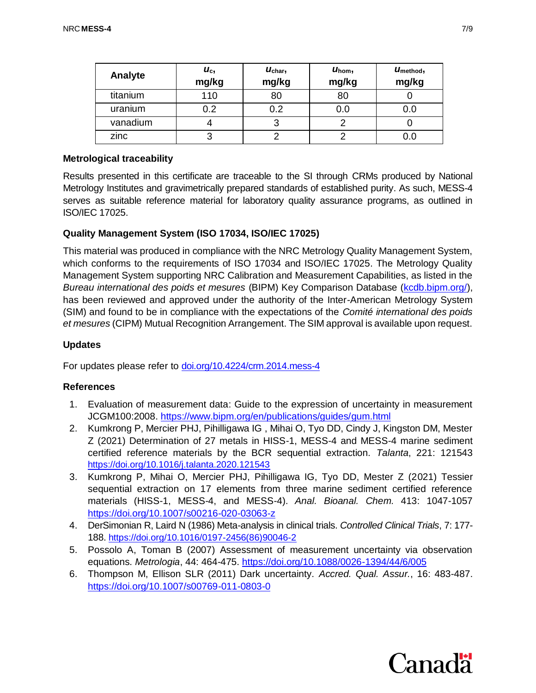| Analyte  | $U_{\rm c}$<br>mg/kg | $U_{\rm char}$<br>mg/kg | $U_{\text{hom}}$<br>mg/kg | $U_{\text{method}}$<br>mg/kg |
|----------|----------------------|-------------------------|---------------------------|------------------------------|
| titanium | 110                  | 80                      | 80                        |                              |
| uranium  | 0.2                  | 0.2                     | 0.0                       | 0.0                          |
| vanadium |                      |                         |                           |                              |
| zinc     | 3                    |                         |                           |                              |

#### **Metrological traceability**

Results presented in this certificate are traceable to the SI through CRMs produced by National Metrology Institutes and gravimetrically prepared standards of established purity. As such, MESS-4 serves as suitable reference material for laboratory quality assurance programs, as outlined in ISO/IEC 17025.

## **Quality Management System (ISO 17034, ISO/IEC 17025)**

This material was produced in compliance with the NRC Metrology Quality Management System, which conforms to the requirements of ISO 17034 and ISO/IEC 17025. The Metrology Quality Management System supporting NRC Calibration and Measurement Capabilities, as listed in the *Bureau international des poids et mesures* (BIPM) Key Comparison Database [\(kcdb.bipm.org/\)](http://kcdb.bipm.org/), has been reviewed and approved under the authority of the Inter-American Metrology System (SIM) and found to be in compliance with the expectations of the *Comité international des poids et mesures* (CIPM) Mutual Recognition Arrangement. The SIM approval is available upon request.

#### **Updates**

For updates please refer to [doi.org/10.4224/crm.2014.mess-4](https://doi.org/10.4224/crm.2014.mess-4)

#### **References**

- 1. Evaluation of measurement data: Guide to the expression of uncertainty in measurement JCGM100:2008. <https://www.bipm.org/en/publications/guides/gum.html>
- 2. Kumkrong P, Mercier PHJ, Pihilligawa IG , Mihai O, Tyo DD, Cindy J, Kingston DM, Mester Z (2021) Determination of 27 metals in HISS-1, MESS-4 and MESS-4 marine sediment certified reference materials by the BCR sequential extraction. *Talanta*, 221: 121543 <https://doi.org/10.1016/j.talanta.2020.121543>
- 3. Kumkrong P, Mihai O, Mercier PHJ, Pihilligawa IG, Tyo DD, Mester Z (2021) Tessier sequential extraction on 17 elements from three marine sediment certified reference materials (HISS-1, MESS-4, and MESS-4). *Anal. Bioanal. Chem.* 413: 1047-1057 <https://doi.org/10.1007/s00216-020-03063-z>
- 4. DerSimonian R, Laird N (1986) Meta-analysis in clinical trials. *Controlled Clinical Trials*, 7: 177- 188. [https://doi.org/10.1016/0197-2456\(86\)90046-2](https://doi.org/10.1016/0197-2456(86)90046-2)
- 5. Possolo A, Toman B (2007) Assessment of measurement uncertainty via observation equations. *Metrologia*, 44: 464-475.<https://doi.org/10.1088/0026-1394/44/6/005>
- 6. Thompson M, Ellison SLR (2011) Dark uncertainty. *Accred. Qual. Assur.*, 16: 483-487. <https://doi.org/10.1007/s00769-011-0803-0>

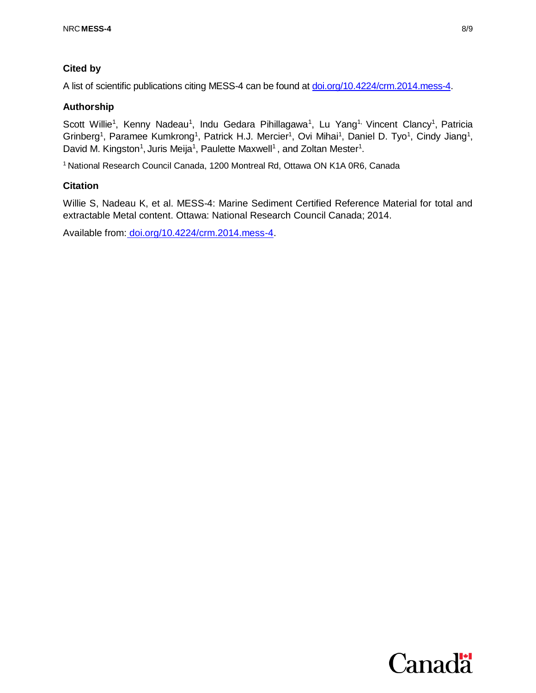## **Cited by**

A list of scientific publications citing MESS-4 can be found a[t doi.org/10.4224/crm.2014.mess-4.](https://doi.org/10.4224/crm.2014.mess-4)

## **Authorship**

Scott Willie<sup>1</sup>, Kenny Nadeau<sup>1</sup>, Indu Gedara Pihillagawa<sup>1</sup>, Lu Yang<sup>1,</sup> Vincent Clancy<sup>1</sup>, Patricia Grinberg<sup>1</sup>, Paramee Kumkrong<sup>1</sup>, Patrick H.J. Mercier<sup>1</sup>, Ovi Mihai<sup>1</sup>, Daniel D. Tyo<sup>1</sup>, Cindy Jiang<sup>1</sup>, David M. Kingston<sup>1</sup>, Juris Meija<sup>1</sup>, Paulette Maxwell<sup>1</sup>, and Zoltan Mester<sup>1</sup>.

<sup>1</sup> National Research Council Canada, 1200 Montreal Rd, Ottawa ON K1A 0R6, Canada

## **Citation**

Willie S, Nadeau K, et al. MESS-4: Marine Sediment Certified Reference Material for total and extractable Metal content. Ottawa: National Research Council Canada; 2014.

Available from: [doi.org/10.4224/crm.2014.mess-4.](https://doi.org/10.4224/crm.2014.mess-4)